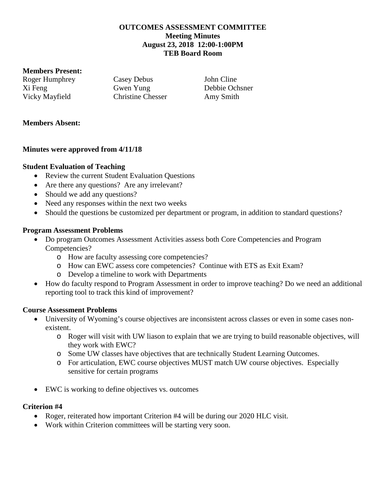## **OUTCOMES ASSESSMENT COMMITTEE Meeting Minutes August 23, 2018 12:00-1:00PM TEB Board Room**

### **Members Present:**

Roger Humphrey Casey Debus John Cline Xi Feng Gwen Yung Debbie Ochsner Vicky Mayfield Christine Chesser Amy Smith

### **Members Absent:**

## **Minutes were approved from 4/11/18**

### **Student Evaluation of Teaching**

- Review the current Student Evaluation Questions
- Are there any questions? Are any irrelevant?
- Should we add any questions?
- Need any responses within the next two weeks
- Should the questions be customized per department or program, in addition to standard questions?

## **Program Assessment Problems**

- Do program Outcomes Assessment Activities assess both Core Competencies and Program Competencies?
	- o How are faculty assessing core competencies?
	- o How can EWC assess core competencies? Continue with ETS as Exit Exam?
	- o Develop a timeline to work with Departments
- How do faculty respond to Program Assessment in order to improve teaching? Do we need an additional reporting tool to track this kind of improvement?

#### **Course Assessment Problems**

- University of Wyoming's course objectives are inconsistent across classes or even in some cases nonexistent.
	- o Roger will visit with UW liason to explain that we are trying to build reasonable objectives, will they work with EWC?
	- o Some UW classes have objectives that are technically Student Learning Outcomes.
	- o For articulation, EWC course objectives MUST match UW course objectives. Especially sensitive for certain programs
- EWC is working to define objectives vs. outcomes

#### **Criterion #4**

- Roger, reiterated how important Criterion #4 will be during our 2020 HLC visit.
- Work within Criterion committees will be starting very soon.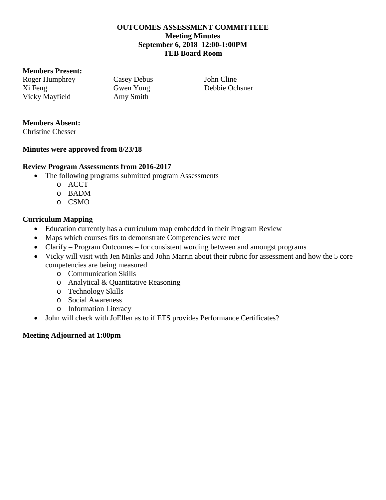## **OUTCOMES ASSESSMENT COMMITTEEE Meeting Minutes September 6, 2018 12:00-1:00PM TEB Board Room**

### **Members Present:**

Roger Humphrey Casey Debus John Cline Xi Feng Gwen Yung Debbie Ochsner Vicky Mayfield Amy Smith

# **Members Absent:**

Christine Chesser

## **Minutes were approved from 8/23/18**

# **Review Program Assessments from 2016-2017**

- The following programs submitted program Assessments
	- o ACCT
	- o BADM
	- o CSMO

# **Curriculum Mapping**

- Education currently has a curriculum map embedded in their Program Review
- Maps which courses fits to demonstrate Competencies were met
- Clarify Program Outcomes for consistent wording between and amongst programs
- Vicky will visit with Jen Minks and John Marrin about their rubric for assessment and how the 5 core competencies are being measured
	- o Communication Skills
	- o Analytical & Quantitative Reasoning
	- o Technology Skills
	- o Social Awareness
	- o Information Literacy
- John will check with JoEllen as to if ETS provides Performance Certificates?

# **Meeting Adjourned at 1:00pm**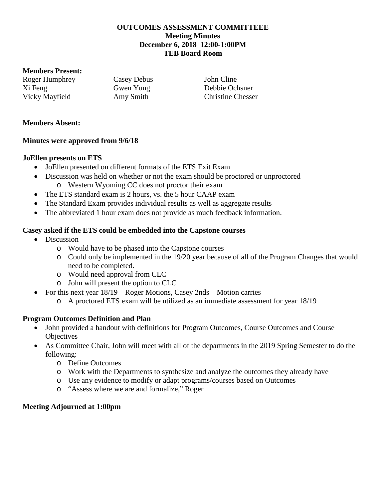## **OUTCOMES ASSESSMENT COMMITTEEE Meeting Minutes December 6, 2018 12:00-1:00PM TEB Board Room**

### **Members Present:**

Roger Humphrey Casey Debus John Cline Xi Feng Gwen Yung Debbie Ochsner Vicky Mayfield Amy Smith Christine Chesser

## **Members Absent:**

## **Minutes were approved from 9/6/18**

## **JoEllen presents on ETS**

- JoEllen presented on different formats of the ETS Exit Exam
- Discussion was held on whether or not the exam should be proctored or unproctored o Western Wyoming CC does not proctor their exam
- The ETS standard exam is 2 hours, vs. the 5 hour CAAP exam
- The Standard Exam provides individual results as well as aggregate results
- The abbreviated 1 hour exam does not provide as much feedback information.

# **Casey asked if the ETS could be embedded into the Capstone courses**

- Discussion
	- o Would have to be phased into the Capstone courses
	- o Could only be implemented in the 19/20 year because of all of the Program Changes that would need to be completed.
	- o Would need approval from CLC
	- o John will present the option to CLC
- For this next year  $18/19$  Roger Motions, Casey 2nds Motion carries
	- o A proctored ETS exam will be utilized as an immediate assessment for year 18/19

# **Program Outcomes Definition and Plan**

- John provided a handout with definitions for Program Outcomes, Course Outcomes and Course **Objectives**
- As Committee Chair, John will meet with all of the departments in the 2019 Spring Semester to do the following:
	- o Define Outcomes
	- o Work with the Departments to synthesize and analyze the outcomes they already have
	- o Use any evidence to modify or adapt programs/courses based on Outcomes
	- o "Assess where we are and formalize," Roger

## **Meeting Adjourned at 1:00pm**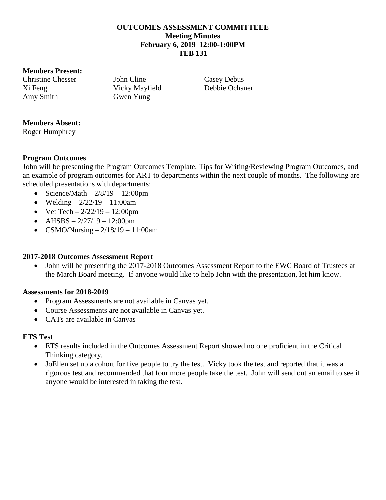### **OUTCOMES ASSESSMENT COMMITTEEE Meeting Minutes February 6, 2019 12:00-1:00PM TEB 131**

### **Members Present:**

Christine Chesser John Cline Casey Debus Xi Feng Vicky Mayfield Debbie Ochsner Amy Smith Gwen Yung

# **Members Absent:**

Roger Humphrey

## **Program Outcomes**

John will be presenting the Program Outcomes Template, Tips for Writing/Reviewing Program Outcomes, and an example of program outcomes for ART to departments within the next couple of months. The following are scheduled presentations with departments:

- Science/Math  $-2/8/19 12:00 \text{pm}$
- Welding  $-2/22/19 11:00$ am
- Vet Tech  $-2/22/19 12:00$ pm
- AHSBS  $-2/27/19 12:00 \text{pm}$
- CSMO/Nursing  $-2/18/19 11:00$ am

## **2017-2018 Outcomes Assessment Report**

• John will be presenting the 2017-2018 Outcomes Assessment Report to the EWC Board of Trustees at the March Board meeting. If anyone would like to help John with the presentation, let him know.

## **Assessments for 2018-2019**

- Program Assessments are not available in Canvas yet.
- Course Assessments are not available in Canvas yet.
- CATs are available in Canvas

## **ETS Test**

- ETS results included in the Outcomes Assessment Report showed no one proficient in the Critical Thinking category.
- JoEllen set up a cohort for five people to try the test. Vicky took the test and reported that it was a rigorous test and recommended that four more people take the test. John will send out an email to see if anyone would be interested in taking the test.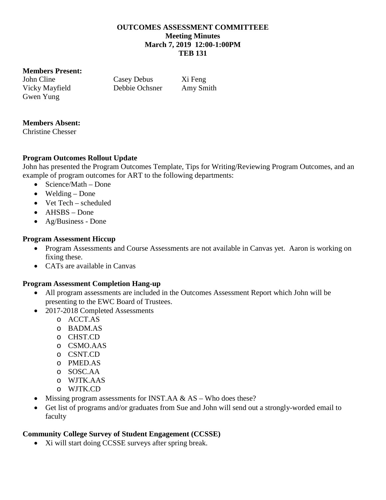### **OUTCOMES ASSESSMENT COMMITTEEE Meeting Minutes March 7, 2019 12:00-1:00PM TEB 131**

### **Members Present:**

John Cline Casey Debus Xi Feng Gwen Yung

Vicky Mayfield Debbie Ochsner Amy Smith

# **Members Absent:**

Christine Chesser

# **Program Outcomes Rollout Update**

John has presented the Program Outcomes Template, Tips for Writing/Reviewing Program Outcomes, and an example of program outcomes for ART to the following departments:

- Science/Math Done
- Welding Done
- Vet Tech scheduled
- AHSBS Done
- Ag/Business Done

# **Program Assessment Hiccup**

- Program Assessments and Course Assessments are not available in Canvas yet. Aaron is working on fixing these.
- CATs are available in Canvas

## **Program Assessment Completion Hang-up**

- All program assessments are included in the Outcomes Assessment Report which John will be presenting to the EWC Board of Trustees.
- 2017-2018 Completed Assessments
	- o ACCT.AS
	- o BADM.AS
	- o CHST.CD
	- o CSMO.AAS
	- o CSNT.CD
	- o PMED.AS
	- o SOSC.AA
	- o WJTK.AAS
	- o WJTK.CD
- Missing program assessments for INST.AA & AS Who does these?
- Get list of programs and/or graduates from Sue and John will send out a strongly-worded email to faculty

# **Community College Survey of Student Engagement (CCSSE)**

• Xi will start doing CCSSE surveys after spring break.